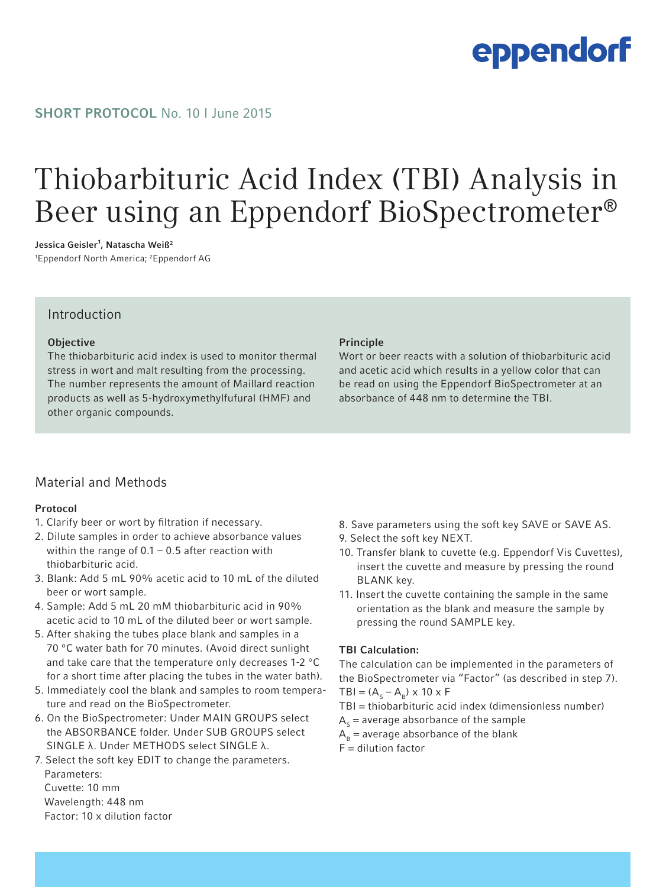# eppendorf

#### SHORT PROTOCOL No. 10 | June 2015

### Thiobarbituric Acid Index (TBI) Analysis in Beer using an Eppendorf BioSpectrometer®

Jessica Geisler<sup>1</sup>, Natascha Weiß<sup>2</sup>

1 Eppendorf North America; 2 Eppendorf AG

#### Introduction

#### **Objective**

The thiobarbituric acid index is used to monitor thermal stress in wort and malt resulting from the processing. The number represents the amount of Maillard reaction products as well as 5-hydroxymethylfufural (HMF) and other organic compounds.

#### Principle

Wort or beer reacts with a solution of thiobarbituric acid and acetic acid which results in a yellow color that can be read on using the Eppendorf BioSpectrometer at an absorbance of 448 nm to determine the TBI.

### Material and Methods

#### Protocol

- 1. Clarify beer or wort by filtration if necessary.
- 2. Dilute samples in order to achieve absorbance values within the range of  $0.1 - 0.5$  after reaction with thiobarbituric acid.
- 3. Blank: Add 5 mL 90% acetic acid to 10 mL of the diluted beer or wort sample.
- 4. Sample: Add 5 mL 20 mM thiobarbituric acid in 90% acetic acid to 10 mL of the diluted beer or wort sample.
- 5. After shaking the tubes place blank and samples in a 70 °C water bath for 70 minutes. (Avoid direct sunlight and take care that the temperature only decreases 1-2 °C for a short time after placing the tubes in the water bath).
- 5. Immediately cool the blank and samples to room tempera ture and read on the BioSpectrometer.
- 6. On the BioSpectrometer: Under MAIN GROUPS select the ABSORBANCE folder. Under SUB GROUPS select SINGLE λ. Under METHODS select SINGLE λ.
- 7. Select the soft key EDIT to change the parameters. Parameters: Cuvette: 10 mm Wavelength: 448 nm
	- Factor: 10 x dilution factor
- 8. Save parameters using the soft key SAVE or SAVE AS.
- 9. Select the soft key NEXT.
- 10. Transfer blank to cuvette (e.g. Eppendorf Vis Cuvettes), insert the cuvette and measure by pressing the round BLANK key.
- 11. Insert the cuvette containing the sample in the same orientation as the blank and measure the sample by pressing the round SAMPLE key.

#### TBI Calculation:

The calculation can be implemented in the parameters of the BioSpectrometer via "Factor" (as described in step 7).  $TBI = (A<sub>s</sub> - A<sub>B</sub>) \times 10 \times F$ 

TBI = thiobarbituric acid index (dimensionless number)

 $A<sub>c</sub>$  = average absorbance of the sample

 $A_B$  = average absorbance of the blank

 $F =$  dilution factor